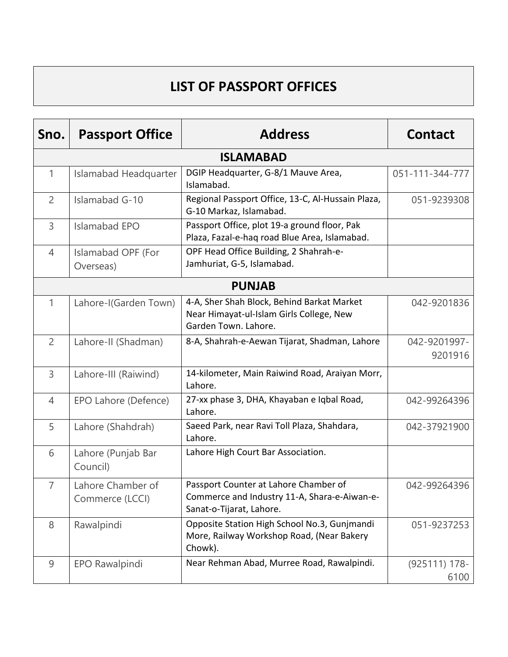## **LIST OF PASSPORT OFFICES**

| Sno.           | <b>Passport Office</b>               | <b>Address</b>                                                                                                    | <b>Contact</b>           |
|----------------|--------------------------------------|-------------------------------------------------------------------------------------------------------------------|--------------------------|
|                |                                      | <b>ISLAMABAD</b>                                                                                                  |                          |
| 1              | Islamabad Headquarter                | DGIP Headquarter, G-8/1 Mauve Area,<br>Islamabad.                                                                 | 051-111-344-777          |
| 2              | Islamabad G-10                       | Regional Passport Office, 13-C, Al-Hussain Plaza,<br>G-10 Markaz, Islamabad.                                      | 051-9239308              |
| 3              | <b>Islamabad EPO</b>                 | Passport Office, plot 19-a ground floor, Pak<br>Plaza, Fazal-e-haq road Blue Area, Islamabad.                     |                          |
| $\overline{4}$ | Islamabad OPF (For<br>Overseas)      | OPF Head Office Building, 2 Shahrah-e-<br>Jamhuriat, G-5, Islamabad.                                              |                          |
|                |                                      | <b>PUNJAB</b>                                                                                                     |                          |
| $\mathbf{1}$   | Lahore-I(Garden Town)                | 4-A, Sher Shah Block, Behind Barkat Market<br>Near Himayat-ul-Islam Girls College, New<br>Garden Town. Lahore.    | 042-9201836              |
| $\overline{2}$ | Lahore-II (Shadman)                  | 8-A, Shahrah-e-Aewan Tijarat, Shadman, Lahore                                                                     | 042-9201997-<br>9201916  |
| 3              | Lahore-III (Raiwind)                 | 14-kilometer, Main Raiwind Road, Araiyan Morr,<br>Lahore.                                                         |                          |
| $\overline{4}$ | EPO Lahore (Defence)                 | 27-xx phase 3, DHA, Khayaban e Iqbal Road,<br>Lahore.                                                             | 042-99264396             |
| 5              | Lahore (Shahdrah)                    | Saeed Park, near Ravi Toll Plaza, Shahdara,<br>Lahore.                                                            | 042-37921900             |
| 6              | Lahore (Punjab Bar<br>Council)       | Lahore High Court Bar Association.                                                                                |                          |
| $\overline{7}$ | Lahore Chamber of<br>Commerce (LCCI) | Passport Counter at Lahore Chamber of<br>Commerce and Industry 11-A, Shara-e-Aiwan-e-<br>Sanat-o-Tijarat, Lahore. | 042-99264396             |
| 8              | Rawalpindi                           | Opposite Station High School No.3, Gunjmandi<br>More, Railway Workshop Road, (Near Bakery<br>Chowk).              | 051-9237253              |
| 9              | EPO Rawalpindi                       | Near Rehman Abad, Murree Road, Rawalpindi.                                                                        | $(925111) 178 -$<br>6100 |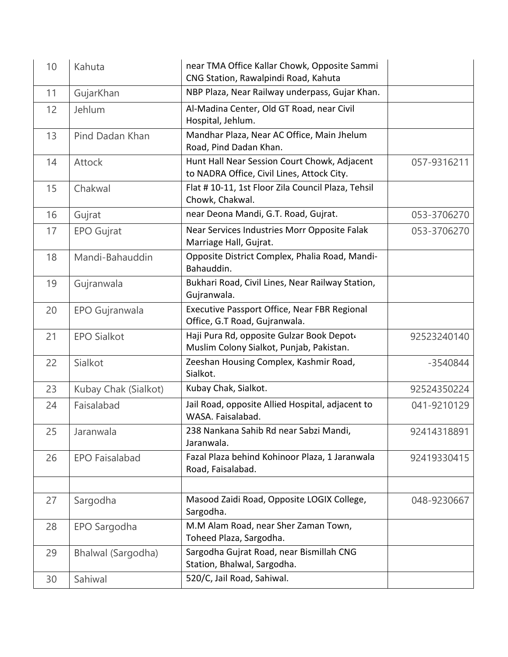| 10 | Kahuta                | near TMA Office Kallar Chowk, Opposite Sammi<br>CNG Station, Rawalpindi Road, Kahuta       |             |
|----|-----------------------|--------------------------------------------------------------------------------------------|-------------|
| 11 | GujarKhan             | NBP Plaza, Near Railway underpass, Gujar Khan.                                             |             |
| 12 | Jehlum                | Al-Madina Center, Old GT Road, near Civil<br>Hospital, Jehlum.                             |             |
| 13 | Pind Dadan Khan       | Mandhar Plaza, Near AC Office, Main Jhelum<br>Road, Pind Dadan Khan.                       |             |
| 14 | <b>Attock</b>         | Hunt Hall Near Session Court Chowk, Adjacent<br>to NADRA Office, Civil Lines, Attock City. | 057-9316211 |
| 15 | Chakwal               | Flat # 10-11, 1st Floor Zila Council Plaza, Tehsil<br>Chowk, Chakwal.                      |             |
| 16 | Gujrat                | near Deona Mandi, G.T. Road, Gujrat.                                                       | 053-3706270 |
| 17 | <b>EPO Gujrat</b>     | Near Services Industries Morr Opposite Falak<br>Marriage Hall, Gujrat.                     | 053-3706270 |
| 18 | Mandi-Bahauddin       | Opposite District Complex, Phalia Road, Mandi-<br>Bahauddin.                               |             |
| 19 | Gujranwala            | Bukhari Road, Civil Lines, Near Railway Station,<br>Gujranwala.                            |             |
| 20 | EPO Gujranwala        | Executive Passport Office, Near FBR Regional<br>Office, G.T Road, Gujranwala.              |             |
| 21 | <b>EPO Sialkot</b>    | Haji Pura Rd, opposite Gulzar Book Depot«<br>Muslim Colony Sialkot, Punjab, Pakistan.      | 92523240140 |
| 22 | Sialkot               | Zeeshan Housing Complex, Kashmir Road,<br>Sialkot.                                         | $-3540844$  |
| 23 | Kubay Chak (Sialkot)  | Kubay Chak, Sialkot.                                                                       | 92524350224 |
| 24 | Faisalabad            | Jail Road, opposite Allied Hospital, adjacent to<br>WASA. Faisalabad.                      | 041-9210129 |
| 25 | Jaranwala             | 238 Nankana Sahib Rd near Sabzi Mandi,<br>Jaranwala.                                       | 92414318891 |
| 26 | <b>EPO Faisalabad</b> | Fazal Plaza behind Kohinoor Plaza, 1 Jaranwala<br>Road, Faisalabad.                        | 92419330415 |
|    |                       |                                                                                            |             |
| 27 | Sargodha              | Masood Zaidi Road, Opposite LOGIX College,<br>Sargodha.                                    | 048-9230667 |
| 28 | EPO Sargodha          | M.M Alam Road, near Sher Zaman Town,<br>Toheed Plaza, Sargodha.                            |             |
| 29 | Bhalwal (Sargodha)    | Sargodha Gujrat Road, near Bismillah CNG<br>Station, Bhalwal, Sargodha.                    |             |
| 30 | Sahiwal               | 520/C, Jail Road, Sahiwal.                                                                 |             |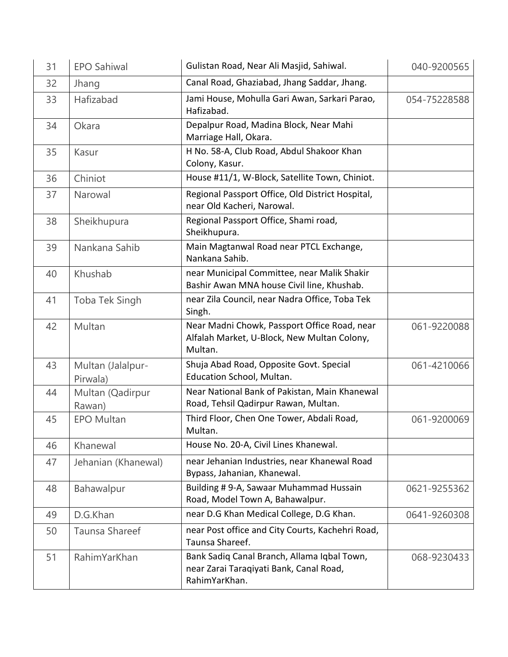| 31 | <b>EPO Sahiwal</b>            | Gulistan Road, Near Ali Masjid, Sahiwal.                                                                | 040-9200565  |
|----|-------------------------------|---------------------------------------------------------------------------------------------------------|--------------|
| 32 | Jhang                         | Canal Road, Ghaziabad, Jhang Saddar, Jhang.                                                             |              |
| 33 | Hafizabad                     | Jami House, Mohulla Gari Awan, Sarkari Parao,<br>Hafizabad.                                             | 054-75228588 |
| 34 | Okara                         | Depalpur Road, Madina Block, Near Mahi<br>Marriage Hall, Okara.                                         |              |
| 35 | Kasur                         | H No. 58-A, Club Road, Abdul Shakoor Khan<br>Colony, Kasur.                                             |              |
| 36 | Chiniot                       | House #11/1, W-Block, Satellite Town, Chiniot.                                                          |              |
| 37 | Narowal                       | Regional Passport Office, Old District Hospital,<br>near Old Kacheri, Narowal.                          |              |
| 38 | Sheikhupura                   | Regional Passport Office, Shami road,<br>Sheikhupura.                                                   |              |
| 39 | Nankana Sahib                 | Main Magtanwal Road near PTCL Exchange,<br>Nankana Sahib.                                               |              |
| 40 | Khushab                       | near Municipal Committee, near Malik Shakir<br>Bashir Awan MNA house Civil line, Khushab.               |              |
| 41 | Toba Tek Singh                | near Zila Council, near Nadra Office, Toba Tek<br>Singh.                                                |              |
| 42 | Multan                        | Near Madni Chowk, Passport Office Road, near<br>Alfalah Market, U-Block, New Multan Colony,<br>Multan.  | 061-9220088  |
| 43 | Multan (Jalalpur-<br>Pirwala) | Shuja Abad Road, Opposite Govt. Special<br>Education School, Multan.                                    | 061-4210066  |
| 44 | Multan (Qadirpur<br>Rawan)    | Near National Bank of Pakistan, Main Khanewal<br>Road, Tehsil Qadirpur Rawan, Multan.                   |              |
| 45 | <b>EPO Multan</b>             | Third Floor, Chen One Tower, Abdali Road,<br>Multan.                                                    | 061-9200069  |
| 46 | Khanewal                      | House No. 20-A, Civil Lines Khanewal.                                                                   |              |
| 47 | Jehanian (Khanewal)           | near Jehanian Industries, near Khanewal Road<br>Bypass, Jahanian, Khanewal.                             |              |
| 48 | Bahawalpur                    | Building # 9-A, Sawaar Muhammad Hussain<br>Road, Model Town A, Bahawalpur.                              | 0621-9255362 |
| 49 | D.G.Khan                      | near D.G Khan Medical College, D.G Khan.                                                                | 0641-9260308 |
| 50 | Taunsa Shareef                | near Post office and City Courts, Kachehri Road,<br>Taunsa Shareef.                                     |              |
| 51 | RahimYarKhan                  | Bank Sadiq Canal Branch, Allama Iqbal Town,<br>near Zarai Taraqiyati Bank, Canal Road,<br>RahimYarKhan. | 068-9230433  |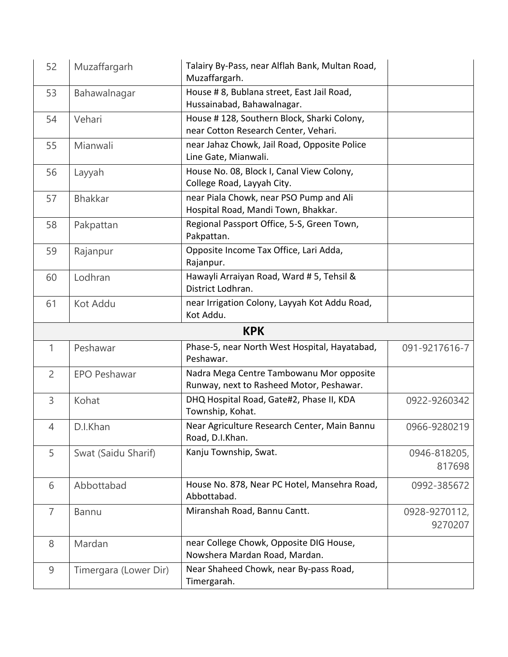| 52             | Muzaffargarh          | Talairy By-Pass, near Alflah Bank, Multan Road,<br>Muzaffargarh.                     |                          |
|----------------|-----------------------|--------------------------------------------------------------------------------------|--------------------------|
| 53             | Bahawalnagar          | House # 8, Bublana street, East Jail Road,<br>Hussainabad, Bahawalnagar.             |                          |
| 54             | Vehari                | House #128, Southern Block, Sharki Colony,<br>near Cotton Research Center, Vehari.   |                          |
| 55             | Mianwali              | near Jahaz Chowk, Jail Road, Opposite Police<br>Line Gate, Mianwali.                 |                          |
| 56             | Layyah                | House No. 08, Block I, Canal View Colony,<br>College Road, Layyah City.              |                          |
| 57             | <b>Bhakkar</b>        | near Piala Chowk, near PSO Pump and Ali<br>Hospital Road, Mandi Town, Bhakkar.       |                          |
| 58             | Pakpattan             | Regional Passport Office, 5-S, Green Town,<br>Pakpattan.                             |                          |
| 59             | Rajanpur              | Opposite Income Tax Office, Lari Adda,<br>Rajanpur.                                  |                          |
| 60             | Lodhran               | Hawayli Arraiyan Road, Ward #5, Tehsil &<br>District Lodhran.                        |                          |
| 61             | Kot Addu              | near Irrigation Colony, Layyah Kot Addu Road,<br>Kot Addu.                           |                          |
|                |                       | <b>KPK</b>                                                                           |                          |
| $\mathbf{1}$   | Peshawar              | Phase-5, near North West Hospital, Hayatabad,<br>Peshawar.                           | 091-9217616-7            |
| $\overline{2}$ | <b>EPO Peshawar</b>   | Nadra Mega Centre Tambowanu Mor opposite<br>Runway, next to Rasheed Motor, Peshawar. |                          |
| 3              | Kohat                 | DHQ Hospital Road, Gate#2, Phase II, KDA<br>Township, Kohat.                         | 0922-9260342             |
| 4              | D.I.Khan              | Near Agriculture Research Center, Main Bannu<br>Road, D.I.Khan.                      | 0966-9280219             |
| 5              | Swat (Saidu Sharif)   | Kanju Township, Swat.                                                                | 0946-818205,<br>817698   |
| 6              | Abbottabad            | House No. 878, Near PC Hotel, Mansehra Road,<br>Abbottabad.                          | 0992-385672              |
| $\overline{7}$ | <b>Bannu</b>          | Miranshah Road, Bannu Cantt.                                                         | 0928-9270112,<br>9270207 |
| 8              | Mardan                | near College Chowk, Opposite DIG House,<br>Nowshera Mardan Road, Mardan.             |                          |
| 9              | Timergara (Lower Dir) | Near Shaheed Chowk, near By-pass Road,<br>Timergarah.                                |                          |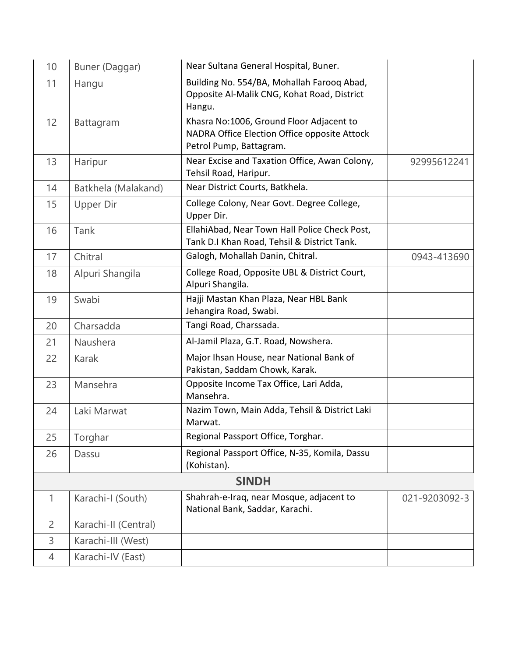| 10             | Buner (Daggar)       | Near Sultana General Hospital, Buner.                                                                               |               |
|----------------|----------------------|---------------------------------------------------------------------------------------------------------------------|---------------|
| 11             | Hangu                | Building No. 554/BA, Mohallah Farooq Abad,<br>Opposite Al-Malik CNG, Kohat Road, District<br>Hangu.                 |               |
| 12             | Battagram            | Khasra No:1006, Ground Floor Adjacent to<br>NADRA Office Election Office opposite Attock<br>Petrol Pump, Battagram. |               |
| 13             | Haripur              | Near Excise and Taxation Office, Awan Colony,<br>Tehsil Road, Haripur.                                              | 92995612241   |
| 14             | Batkhela (Malakand)  | Near District Courts, Batkhela.                                                                                     |               |
| 15             | Upper Dir            | College Colony, Near Govt. Degree College,<br>Upper Dir.                                                            |               |
| 16             | Tank                 | EllahiAbad, Near Town Hall Police Check Post,<br>Tank D.I Khan Road, Tehsil & District Tank.                        |               |
| 17             | Chitral              | Galogh, Mohallah Danin, Chitral.                                                                                    | 0943-413690   |
| 18             | Alpuri Shangila      | College Road, Opposite UBL & District Court,<br>Alpuri Shangila.                                                    |               |
| 19             | Swabi                | Hajji Mastan Khan Plaza, Near HBL Bank<br>Jehangira Road, Swabi.                                                    |               |
| 20             | Charsadda            | Tangi Road, Charssada.                                                                                              |               |
| 21             | Naushera             | Al-Jamil Plaza, G.T. Road, Nowshera.                                                                                |               |
| 22             | <b>Karak</b>         | Major Ihsan House, near National Bank of<br>Pakistan, Saddam Chowk, Karak.                                          |               |
| 23             | Mansehra             | Opposite Income Tax Office, Lari Adda,<br>Mansehra.                                                                 |               |
| 24             | Laki Marwat          | Nazim Town, Main Adda, Tehsil & District Laki<br>Marwat.                                                            |               |
| 25             | Torghar              | Regional Passport Office, Torghar.                                                                                  |               |
| 26             | Dassu                | Regional Passport Office, N-35, Komila, Dassu<br>(Kohistan).                                                        |               |
|                |                      | <b>SINDH</b>                                                                                                        |               |
| 1              | Karachi-I (South)    | Shahrah-e-Iraq, near Mosque, adjacent to<br>National Bank, Saddar, Karachi.                                         | 021-9203092-3 |
| $\overline{2}$ | Karachi-II (Central) |                                                                                                                     |               |
| 3              | Karachi-III (West)   |                                                                                                                     |               |
| $\overline{4}$ | Karachi-IV (East)    |                                                                                                                     |               |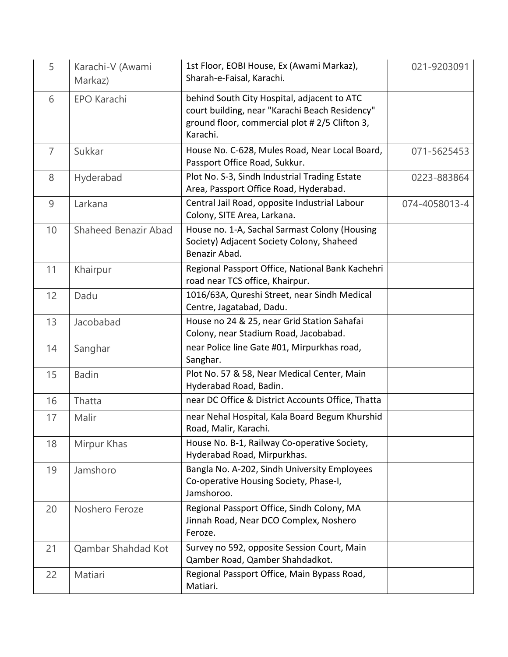| 5              | Karachi-V (Awami<br>Markaz) | 1st Floor, EOBI House, Ex (Awami Markaz),<br>Sharah-e-Faisal, Karachi.                                                                                     | 021-9203091   |
|----------------|-----------------------------|------------------------------------------------------------------------------------------------------------------------------------------------------------|---------------|
| 6              | <b>EPO Karachi</b>          | behind South City Hospital, adjacent to ATC<br>court building, near "Karachi Beach Residency"<br>ground floor, commercial plot #2/5 Clifton 3,<br>Karachi. |               |
| $\overline{7}$ | Sukkar                      | House No. C-628, Mules Road, Near Local Board,<br>Passport Office Road, Sukkur.                                                                            | 071-5625453   |
| 8              | Hyderabad                   | Plot No. S-3, Sindh Industrial Trading Estate<br>Area, Passport Office Road, Hyderabad.                                                                    | 0223-883864   |
| 9              | Larkana                     | Central Jail Road, opposite Industrial Labour<br>Colony, SITE Area, Larkana.                                                                               | 074-4058013-4 |
| 10             | Shaheed Benazir Abad        | House no. 1-A, Sachal Sarmast Colony (Housing<br>Society) Adjacent Society Colony, Shaheed<br>Benazir Abad.                                                |               |
| 11             | Khairpur                    | Regional Passport Office, National Bank Kachehri<br>road near TCS office, Khairpur.                                                                        |               |
| 12             | Dadu                        | 1016/63A, Qureshi Street, near Sindh Medical<br>Centre, Jagatabad, Dadu.                                                                                   |               |
| 13             | Jacobabad                   | House no 24 & 25, near Grid Station Sahafai<br>Colony, near Stadium Road, Jacobabad.                                                                       |               |
| 14             | Sanghar                     | near Police line Gate #01, Mirpurkhas road,<br>Sanghar.                                                                                                    |               |
| 15             | <b>Badin</b>                | Plot No. 57 & 58, Near Medical Center, Main<br>Hyderabad Road, Badin.                                                                                      |               |
| 16             | Thatta                      | near DC Office & District Accounts Office, Thatta                                                                                                          |               |
| 17             | Malir                       | near Nehal Hospital, Kala Board Begum Khurshid<br>Road, Malir, Karachi.                                                                                    |               |
| 18             | Mirpur Khas                 | House No. B-1, Railway Co-operative Society,<br>Hyderabad Road, Mirpurkhas.                                                                                |               |
| 19             | Jamshoro                    | Bangla No. A-202, Sindh University Employees<br>Co-operative Housing Society, Phase-I,<br>Jamshoroo.                                                       |               |
| 20             | Noshero Feroze              | Regional Passport Office, Sindh Colony, MA<br>Jinnah Road, Near DCO Complex, Noshero<br>Feroze.                                                            |               |
| 21             | Qambar Shahdad Kot          | Survey no 592, opposite Session Court, Main<br>Qamber Road, Qamber Shahdadkot.                                                                             |               |
| 22             | Matiari                     | Regional Passport Office, Main Bypass Road,<br>Matiari.                                                                                                    |               |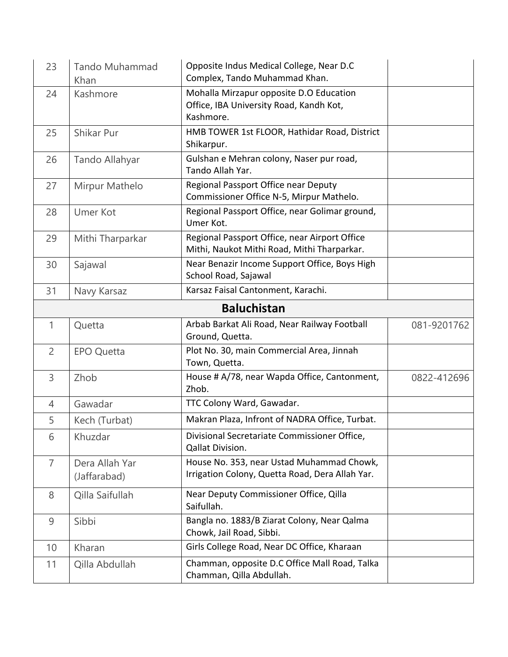| 23             | Tando Muhammad<br>Khan         | Opposite Indus Medical College, Near D.C<br>Complex, Tando Muhammad Khan.                       |             |
|----------------|--------------------------------|-------------------------------------------------------------------------------------------------|-------------|
| 24             | Kashmore                       | Mohalla Mirzapur opposite D.O Education<br>Office, IBA University Road, Kandh Kot,<br>Kashmore. |             |
| 25             | Shikar Pur                     | HMB TOWER 1st FLOOR, Hathidar Road, District<br>Shikarpur.                                      |             |
| 26             | Tando Allahyar                 | Gulshan e Mehran colony, Naser pur road,<br>Tando Allah Yar.                                    |             |
| 27             | Mirpur Mathelo                 | Regional Passport Office near Deputy<br>Commissioner Office N-5, Mirpur Mathelo.                |             |
| 28             | <b>Umer Kot</b>                | Regional Passport Office, near Golimar ground,<br>Umer Kot.                                     |             |
| 29             | Mithi Tharparkar               | Regional Passport Office, near Airport Office<br>Mithi, Naukot Mithi Road, Mithi Tharparkar.    |             |
| 30             | Sajawal                        | Near Benazir Income Support Office, Boys High<br>School Road, Sajawal                           |             |
| 31             | Navy Karsaz                    | Karsaz Faisal Cantonment, Karachi.                                                              |             |
|                |                                | <b>Baluchistan</b>                                                                              |             |
| 1              | Quetta                         | Arbab Barkat Ali Road, Near Railway Football<br>Ground, Quetta.                                 | 081-9201762 |
| $\overline{2}$ | <b>EPO Quetta</b>              | Plot No. 30, main Commercial Area, Jinnah<br>Town, Quetta.                                      |             |
| 3              | Zhob                           | House # A/78, near Wapda Office, Cantonment,<br>Zhob.                                           | 0822-412696 |
| $\overline{4}$ | Gawadar                        | TTC Colony Ward, Gawadar.                                                                       |             |
| 5              | Kech (Turbat)                  | Makran Plaza, Infront of NADRA Office, Turbat.                                                  |             |
| 6              | Khuzdar                        | Divisional Secretariate Commissioner Office,<br>Qallat Division.                                |             |
| $\overline{7}$ | Dera Allah Yar<br>(Jaffarabad) | House No. 353, near Ustad Muhammad Chowk,<br>Irrigation Colony, Quetta Road, Dera Allah Yar.    |             |
| 8              | Qilla Saifullah                | Near Deputy Commissioner Office, Qilla<br>Saifullah.                                            |             |
| 9              | Sibbi                          | Bangla no. 1883/B Ziarat Colony, Near Qalma<br>Chowk, Jail Road, Sibbi.                         |             |
| 10             | Kharan                         | Girls College Road, Near DC Office, Kharaan                                                     |             |
| 11             | Qilla Abdullah                 | Chamman, opposite D.C Office Mall Road, Talka<br>Chamman, Qilla Abdullah.                       |             |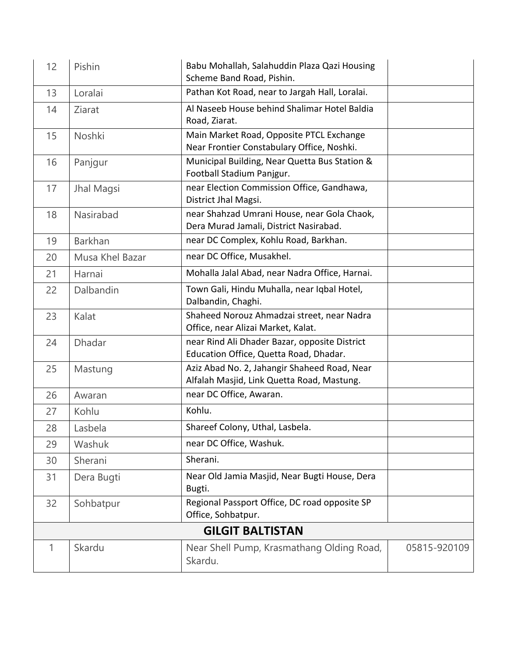| 12 | Pishin          | Babu Mohallah, Salahuddin Plaza Qazi Housing<br>Scheme Band Road, Pishin.                  |              |
|----|-----------------|--------------------------------------------------------------------------------------------|--------------|
| 13 | Loralai         | Pathan Kot Road, near to Jargah Hall, Loralai.                                             |              |
| 14 | Ziarat          | Al Naseeb House behind Shalimar Hotel Baldia<br>Road, Ziarat.                              |              |
| 15 | Noshki          | Main Market Road, Opposite PTCL Exchange<br>Near Frontier Constabulary Office, Noshki.     |              |
| 16 | Panjgur         | Municipal Building, Near Quetta Bus Station &<br>Football Stadium Panjgur.                 |              |
| 17 | Jhal Magsi      | near Election Commission Office, Gandhawa,<br>District Jhal Magsi.                         |              |
| 18 | Nasirabad       | near Shahzad Umrani House, near Gola Chaok,<br>Dera Murad Jamali, District Nasirabad.      |              |
| 19 | <b>Barkhan</b>  | near DC Complex, Kohlu Road, Barkhan.                                                      |              |
| 20 | Musa Khel Bazar | near DC Office, Musakhel.                                                                  |              |
| 21 | Harnai          | Mohalla Jalal Abad, near Nadra Office, Harnai.                                             |              |
| 22 | Dalbandin       | Town Gali, Hindu Muhalla, near Iqbal Hotel,<br>Dalbandin, Chaghi.                          |              |
| 23 | Kalat           | Shaheed Norouz Ahmadzai street, near Nadra<br>Office, near Alizai Market, Kalat.           |              |
| 24 | Dhadar          | near Rind Ali Dhader Bazar, opposite District<br>Education Office, Quetta Road, Dhadar.    |              |
| 25 | Mastung         | Aziz Abad No. 2, Jahangir Shaheed Road, Near<br>Alfalah Masjid, Link Quetta Road, Mastung. |              |
| 26 | Awaran          | near DC Office, Awaran.                                                                    |              |
| 27 | Kohlu           | Kohlu.                                                                                     |              |
| 28 | Lasbela         | Shareef Colony, Uthal, Lasbela.                                                            |              |
| 29 | <b>Washuk</b>   | near DC Office, Washuk.                                                                    |              |
| 30 | Sherani         | Sherani.                                                                                   |              |
| 31 | Dera Bugti      | Near Old Jamia Masjid, Near Bugti House, Dera<br>Bugti.                                    |              |
| 32 | Sohbatpur       | Regional Passport Office, DC road opposite SP<br>Office, Sohbatpur.                        |              |
|    |                 | <b>GILGIT BALTISTAN</b>                                                                    |              |
| 1  | Skardu          | Near Shell Pump, Krasmathang Olding Road,<br>Skardu.                                       | 05815-920109 |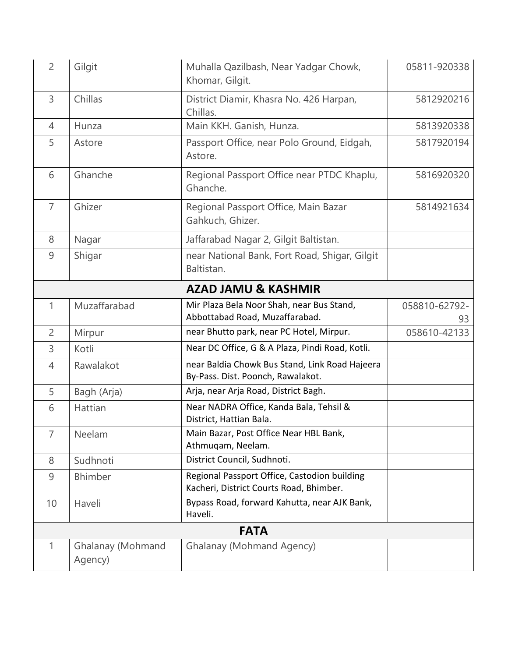| $\overline{2}$ | Gilgit                       | Muhalla Qazilbash, Near Yadgar Chowk,<br>Khomar, Gilgit.                                | 05811-920338        |
|----------------|------------------------------|-----------------------------------------------------------------------------------------|---------------------|
| 3              | Chillas                      | District Diamir, Khasra No. 426 Harpan,<br>Chillas.                                     | 5812920216          |
| $\overline{4}$ | Hunza                        | Main KKH. Ganish, Hunza.                                                                | 5813920338          |
| 5              | Astore                       | Passport Office, near Polo Ground, Eidgah,<br>Astore.                                   | 5817920194          |
| 6              | Ghanche                      | Regional Passport Office near PTDC Khaplu,<br>Ghanche.                                  | 5816920320          |
| $\overline{7}$ | Ghizer                       | Regional Passport Office, Main Bazar<br>Gahkuch, Ghizer.                                | 5814921634          |
| 8              | Nagar                        | Jaffarabad Nagar 2, Gilgit Baltistan.                                                   |                     |
| 9              | Shigar                       | near National Bank, Fort Road, Shigar, Gilgit<br>Baltistan.                             |                     |
|                |                              | <b>AZAD JAMU &amp; KASHMIR</b>                                                          |                     |
| 1              | Muzaffarabad                 | Mir Plaza Bela Noor Shah, near Bus Stand,<br>Abbottabad Road, Muzaffarabad.             | 058810-62792-<br>93 |
| $\overline{2}$ | Mirpur                       | near Bhutto park, near PC Hotel, Mirpur.                                                | 058610-42133        |
| 3              | Kotli                        | Near DC Office, G & A Plaza, Pindi Road, Kotli.                                         |                     |
| 4              | Rawalakot                    | near Baldia Chowk Bus Stand, Link Road Hajeera<br>By-Pass. Dist. Poonch, Rawalakot.     |                     |
| 5              | Bagh (Arja)                  | Arja, near Arja Road, District Bagh.                                                    |                     |
| 6              | Hattian                      | Near NADRA Office, Kanda Bala, Tehsil &<br>District, Hattian Bala.                      |                     |
| $\sqrt{2}$     | Neelam                       | Main Bazar, Post Office Near HBL Bank,<br>Athmuqam, Neelam.                             |                     |
| 8              | Sudhnoti                     | District Council, Sudhnoti.                                                             |                     |
| 9              | <b>Bhimber</b>               | Regional Passport Office, Castodion building<br>Kacheri, District Courts Road, Bhimber. |                     |
| 10             | Haveli                       | Bypass Road, forward Kahutta, near AJK Bank,<br>Haveli.                                 |                     |
|                |                              | <b>FATA</b>                                                                             |                     |
| 1              | Ghalanay (Mohmand<br>Agency) | Ghalanay (Mohmand Agency)                                                               |                     |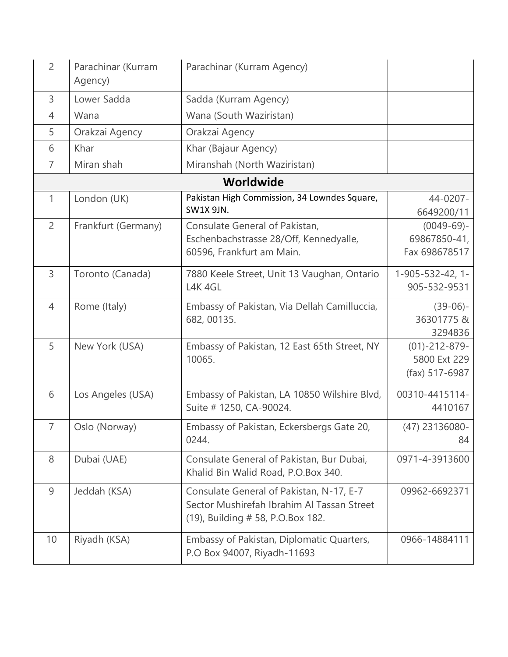| $\overline{2}$ | Parachinar (Kurram<br>Agency) | Parachinar (Kurram Agency)                                                                                                  |                                                   |
|----------------|-------------------------------|-----------------------------------------------------------------------------------------------------------------------------|---------------------------------------------------|
| 3              | Lower Sadda                   | Sadda (Kurram Agency)                                                                                                       |                                                   |
| $\overline{4}$ | Wana                          | Wana (South Waziristan)                                                                                                     |                                                   |
| 5              | Orakzai Agency                | Orakzai Agency                                                                                                              |                                                   |
| 6              | Khar                          | Khar (Bajaur Agency)                                                                                                        |                                                   |
| $\overline{7}$ | Miran shah                    | Miranshah (North Waziristan)                                                                                                |                                                   |
|                |                               | <b>Worldwide</b>                                                                                                            |                                                   |
| 1              | London (UK)                   | Pakistan High Commission, 34 Lowndes Square,<br><b>SW1X 9JN.</b>                                                            | 44-0207-<br>6649200/11                            |
| $\overline{2}$ | Frankfurt (Germany)           | Consulate General of Pakistan,<br>Eschenbachstrasse 28/Off, Kennedyalle,<br>60596, Frankfurt am Main.                       | $(0049-69)$ -<br>69867850-41,<br>Fax 698678517    |
| 3              | Toronto (Canada)              | 7880 Keele Street, Unit 13 Vaughan, Ontario<br>L4K 4GL                                                                      | 1-905-532-42, 1-<br>905-532-9531                  |
| $\overline{4}$ | Rome (Italy)                  | Embassy of Pakistan, Via Dellah Camilluccia,<br>682, 00135.                                                                 | $(39-06)$ -<br>36301775&<br>3294836               |
| 5              | New York (USA)                | Embassy of Pakistan, 12 East 65th Street, NY<br>10065.                                                                      | $(01)-212-879-$<br>5800 Ext 229<br>(fax) 517-6987 |
| 6              | Los Angeles (USA)             | Embassy of Pakistan, LA 10850 Wilshire Blvd,<br>Suite # 1250, CA-90024.                                                     | 00310-4415114-<br>4410167                         |
| $\overline{7}$ | Oslo (Norway)                 | Embassy of Pakistan, Eckersbergs Gate 20,<br>0244.                                                                          | (47) 23136080-<br>84                              |
| 8              | Dubai (UAE)                   | Consulate General of Pakistan, Bur Dubai,<br>Khalid Bin Walid Road, P.O.Box 340.                                            | 0971-4-3913600                                    |
| $\overline{9}$ | Jeddah (KSA)                  | Consulate General of Pakistan, N-17, E-7<br>Sector Mushirefah Ibrahim Al Tassan Street<br>(19), Building # 58, P.O.Box 182. | 09962-6692371                                     |
| 10             | Riyadh (KSA)                  | Embassy of Pakistan, Diplomatic Quarters,<br>P.O Box 94007, Riyadh-11693                                                    | 0966-14884111                                     |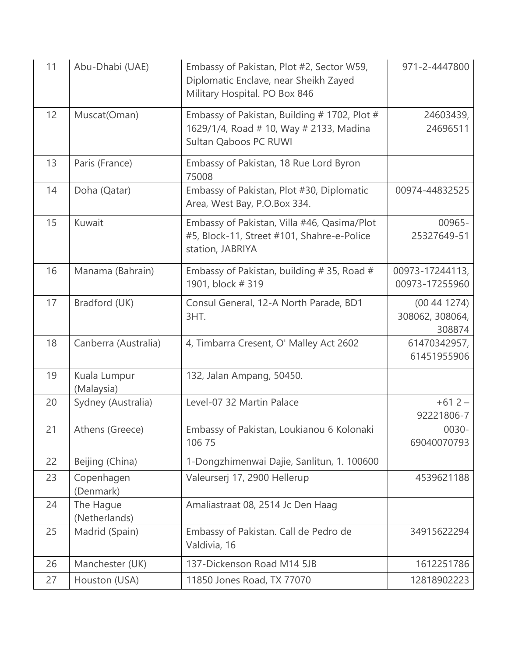| 11 | Abu-Dhabi (UAE)            | Embassy of Pakistan, Plot #2, Sector W59,<br>Diplomatic Enclave, near Sheikh Zayed<br>Military Hospital. PO Box 846 | 971-2-4447800                           |
|----|----------------------------|---------------------------------------------------------------------------------------------------------------------|-----------------------------------------|
| 12 | Muscat(Oman)               | Embassy of Pakistan, Building # 1702, Plot #<br>1629/1/4, Road # 10, Way # 2133, Madina<br>Sultan Qaboos PC RUWI    | 24603439,<br>24696511                   |
| 13 | Paris (France)             | Embassy of Pakistan, 18 Rue Lord Byron<br>75008                                                                     |                                         |
| 14 | Doha (Qatar)               | Embassy of Pakistan, Plot #30, Diplomatic<br>Area, West Bay, P.O.Box 334.                                           | 00974-44832525                          |
| 15 | Kuwait                     | Embassy of Pakistan, Villa #46, Qasima/Plot<br>#5, Block-11, Street #101, Shahre-e-Police<br>station, JABRIYA       | 00965-<br>25327649-51                   |
| 16 | Manama (Bahrain)           | Embassy of Pakistan, building $# 35$ , Road $#$<br>1901, block #319                                                 | 00973-17244113,<br>00973-17255960       |
| 17 | Bradford (UK)              | Consul General, 12-A North Parade, BD1<br>3HT.                                                                      | (00441274)<br>308062, 308064,<br>308874 |
| 18 | Canberra (Australia)       | 4, Timbarra Cresent, O' Malley Act 2602                                                                             | 61470342957,<br>61451955906             |
| 19 | Kuala Lumpur<br>(Malaysia) | 132, Jalan Ampang, 50450.                                                                                           |                                         |
| 20 | Sydney (Australia)         | Level-07 32 Martin Palace                                                                                           | $+612-$<br>92221806-7                   |
| 21 | Athens (Greece)            | Embassy of Pakistan, Loukianou 6 Kolonaki<br>106 75                                                                 | 0030-<br>69040070793                    |
| 22 | Beijing (China)            | 1-Dongzhimenwai Dajie, Sanlitun, 1. 100600                                                                          |                                         |
| 23 | Copenhagen<br>(Denmark)    | Valeurserj 17, 2900 Hellerup                                                                                        | 4539621188                              |
| 24 | The Hague<br>(Netherlands) | Amaliastraat 08, 2514 Jc Den Haag                                                                                   |                                         |
| 25 | Madrid (Spain)             | Embassy of Pakistan. Call de Pedro de<br>Valdivia, 16                                                               | 34915622294                             |
| 26 | Manchester (UK)            | 137-Dickenson Road M14 5JB                                                                                          | 1612251786                              |
| 27 | Houston (USA)              | 11850 Jones Road, TX 77070                                                                                          | 12818902223                             |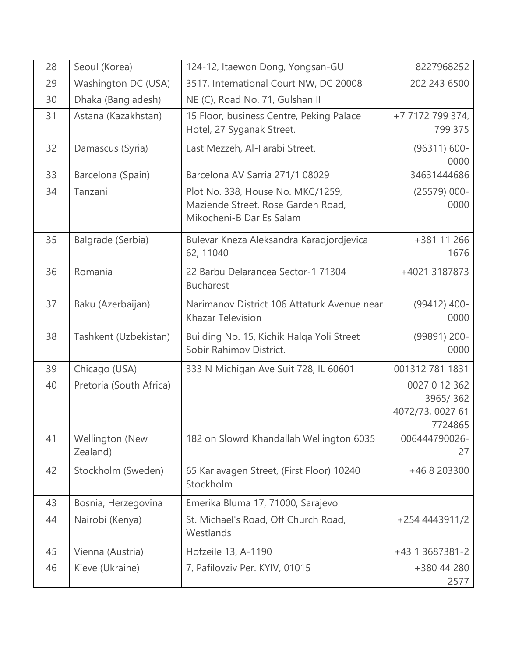| 28 | Seoul (Korea)               | 124-12, Itaewon Dong, Yongsan-GU                                                                    | 8227968252                                               |
|----|-----------------------------|-----------------------------------------------------------------------------------------------------|----------------------------------------------------------|
| 29 | Washington DC (USA)         | 3517, International Court NW, DC 20008                                                              | 202 243 6500                                             |
| 30 | Dhaka (Bangladesh)          | NE (C), Road No. 71, Gulshan II                                                                     |                                                          |
| 31 | Astana (Kazakhstan)         | 15 Floor, business Centre, Peking Palace<br>Hotel, 27 Syganak Street.                               | +7 7172 799 374,<br>799 375                              |
| 32 | Damascus (Syria)            | East Mezzeh, Al-Farabi Street.                                                                      | $(96311) 600 -$<br>0000                                  |
| 33 | Barcelona (Spain)           | Barcelona AV Sarria 271/1 08029                                                                     | 34631444686                                              |
| 34 | Tanzani                     | Plot No. 338, House No. MKC/1259,<br>Maziende Street, Rose Garden Road,<br>Mikocheni-B Dar Es Salam | $(25579)$ 000-<br>0000                                   |
| 35 | Balgrade (Serbia)           | Bulevar Kneza Aleksandra Karadjordjevica<br>62, 11040                                               | +381 11 266<br>1676                                      |
| 36 | Romania                     | 22 Barbu Delarancea Sector-1 71304<br><b>Bucharest</b>                                              | +4021 3187873                                            |
| 37 | Baku (Azerbaijan)           | Narimanov District 106 Attaturk Avenue near<br><b>Khazar Television</b>                             | (99412) 400-<br>0000                                     |
| 38 | Tashkent (Uzbekistan)       | Building No. 15, Kichik Halqa Yoli Street<br>Sobir Rahimov District.                                | (99891) 200-<br>0000                                     |
| 39 | Chicago (USA)               | 333 N Michigan Ave Suit 728, IL 60601                                                               | 001312 781 1831                                          |
| 40 | Pretoria (South Africa)     |                                                                                                     | 0027 0 12 362<br>3965/362<br>4072/73, 0027 61<br>7724865 |
| 41 | Wellington (New<br>Zealand) | 182 on Slowrd Khandallah Wellington 6035                                                            | 006444790026-<br>27                                      |
| 42 | Stockholm (Sweden)          | 65 Karlavagen Street, (First Floor) 10240<br>Stockholm                                              | +46 8 203300                                             |
| 43 | Bosnia, Herzegovina         | Emerika Bluma 17, 71000, Sarajevo                                                                   |                                                          |
| 44 | Nairobi (Kenya)             | St. Michael's Road, Off Church Road,<br>Westlands                                                   | +254 4443911/2                                           |
| 45 | Vienna (Austria)            | Hofzeile 13, A-1190                                                                                 | +43 1 3687381-2                                          |
| 46 | Kieve (Ukraine)             | 7, Pafilovziv Per. KYIV, 01015                                                                      | +380 44 280<br>2577                                      |